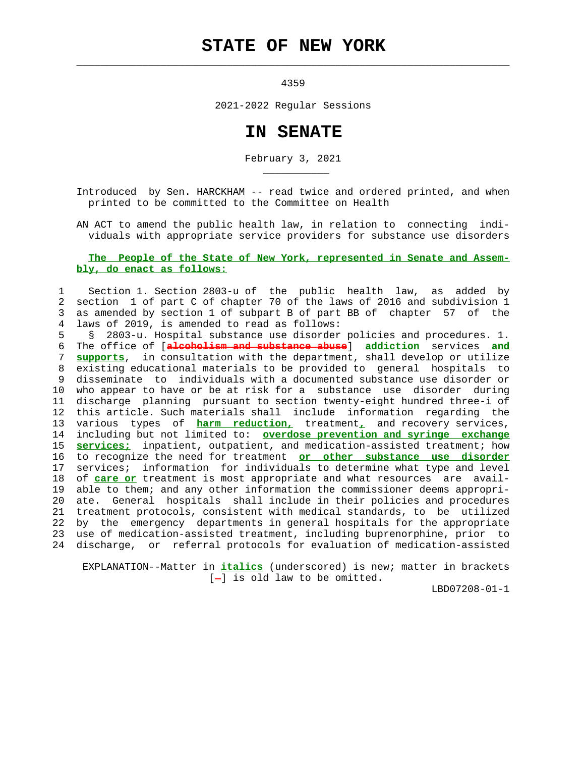## **STATE OF NEW YORK**

 $\mathcal{L}_\text{max} = \frac{1}{2} \sum_{i=1}^{n} \frac{1}{2} \sum_{i=1}^{n} \frac{1}{2} \sum_{i=1}^{n} \frac{1}{2} \sum_{i=1}^{n} \frac{1}{2} \sum_{i=1}^{n} \frac{1}{2} \sum_{i=1}^{n} \frac{1}{2} \sum_{i=1}^{n} \frac{1}{2} \sum_{i=1}^{n} \frac{1}{2} \sum_{i=1}^{n} \frac{1}{2} \sum_{i=1}^{n} \frac{1}{2} \sum_{i=1}^{n} \frac{1}{2} \sum_{i=1}^{n} \frac{1$ 

\_\_\_\_\_\_\_\_\_\_\_

4359

2021-2022 Regular Sessions

## **IN SENATE**

February 3, 2021

 Introduced by Sen. HARCKHAM -- read twice and ordered printed, and when printed to be committed to the Committee on Health

 AN ACT to amend the public health law, in relation to connecting indi viduals with appropriate service providers for substance use disorders

## **The People of the State of New York, represented in Senate and Assem bly, do enact as follows:**

## 1 Section 1. Section 2803-u of the public health law, as added by 2 section 1 of part C of chapter 70 of the laws of 2016 and subdivision 1 3 as amended by section 1 of subpart B of part BB of chapter 57 of the 4 laws of 2019, is amended to read as follows:

 5 § 2803-u. Hospital substance use disorder policies and procedures. 1. 6 The office of [**alcoholism and substance abuse**] **addiction** services **and** 7 **supports**, in consultation with the department, shall develop or utilize 8 existing educational materials to be provided to general hospitals to 9 disseminate to individuals with a documented substance use disorder or 10 who appear to have or be at risk for a substance use disorder during 11 discharge planning pursuant to section twenty-eight hundred three-i of 12 this article. Such materials shall include information regarding the 13 various types of **harm reduction,** treatment**,** and recovery services, 14 including but not limited to: **overdose prevention and syringe exchange** 15 **services;** inpatient, outpatient, and medication-assisted treatment; how 16 to recognize the need for treatment **or other substance use disorder** 17 services; information for individuals to determine what type and level 18 of **care or** treatment is most appropriate and what resources are avail- 19 able to them; and any other information the commissioner deems appropri- 20 ate. General hospitals shall include in their policies and procedures 21 treatment protocols, consistent with medical standards, to be utilized 22 by the emergency departments in general hospitals for the appropriate 23 use of medication-assisted treatment, including buprenorphine, prior to 24 discharge, or referral protocols for evaluation of medication-assisted

 EXPLANATION--Matter in **italics** (underscored) is new; matter in brackets  $[-]$  is old law to be omitted.

LBD07208-01-1